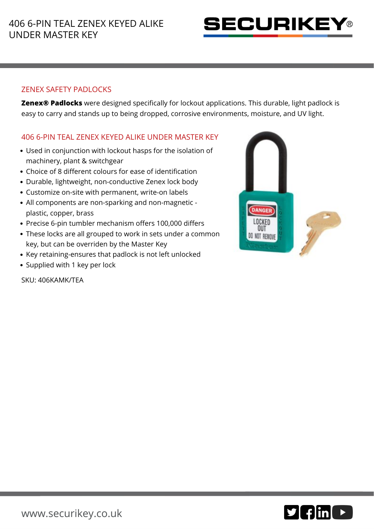

## ZENEX SAFETY PADLOCKS

**Zenex® Padlocks** were designed specifically for lockout applications. This durable, light padlock is easy to carry and stands up to being dropped, corrosive environments, moisture, and UV light.

## 406 6-PIN TEAL ZENEX KEYED ALIKE UNDER MASTER KEY

- Used in conjunction with lockout hasps for the isolation of machinery, plant & switchgear
- Choice of 8 different colours for ease of identification
- Durable, lightweight, non-conductive Zenex lock body
- Customize on-site with permanent, write-on labels
- All components are non-sparking and non-magnetic plastic, copper, brass
- Precise 6-pin tumbler mechanism offers 100,000 differs
- These locks are all grouped to work in sets under a common key, but can be overriden by the Master Key
- Key retaining-ensures that padlock is not left unlocked
- Supplied with 1 key per lock

SKU: 406KAMK/TEA



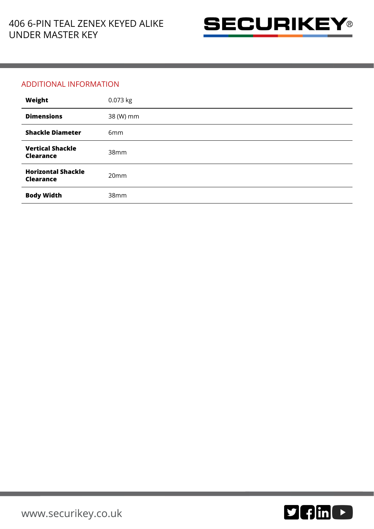

## ADDITIONAL INFORMATION

| Weight                                        | 0.073 kg        |
|-----------------------------------------------|-----------------|
| <b>Dimensions</b>                             | 38 (W) mm       |
| <b>Shackle Diameter</b>                       | 6 <sub>mm</sub> |
| <b>Vertical Shackle</b><br><b>Clearance</b>   | 38mm            |
| <b>Horizontal Shackle</b><br><b>Clearance</b> | 20mm            |
| <b>Body Width</b>                             | 38mm            |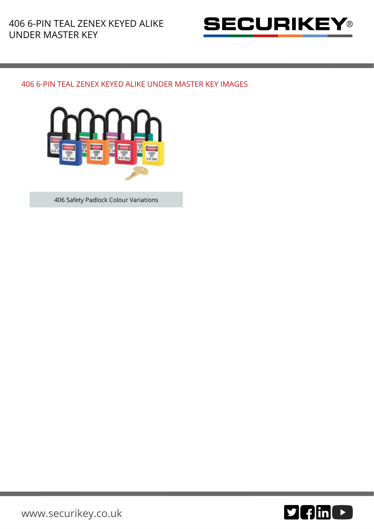

## 406 6-PIN TEAL ZENEX KEYED ALIKE UNDER MASTER KEY IMAGES



406 Safety Padlock Colour Variations